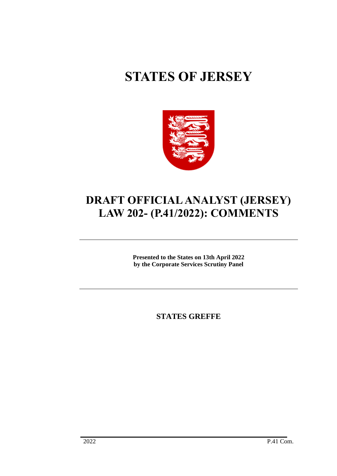# **STATES OF JERSEY**



# **DRAFT OFFICIAL ANALYST (JERSEY) LAW 202- (P.41/2022): COMMENTS**

**Presented to the States on 13th April 2022 by the Corporate Services Scrutiny Panel**

**STATES GREFFE**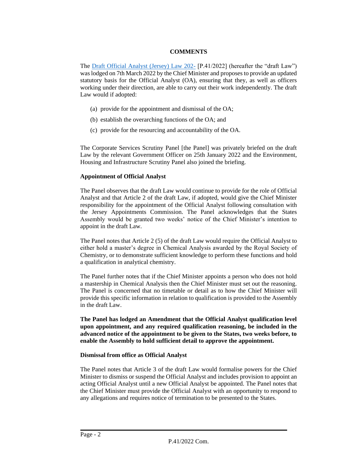# **COMMENTS**

The [Draft Official Analyst \(Jersey\) Law 202-](https://statesassembly.gov.je/assemblypropositions/2022/p.41-2022.pdf) [P.41/2022] (hereafter the "draft Law") was lodged on 7th March 2022 by the Chief Minister and proposes to provide an updated statutory basis for the Official Analyst (OA), ensuring that they, as well as officers working under their direction, are able to carry out their work independently. The draft Law would if adopted:

- (a) provide for the appointment and dismissal of the OA;
- (b) establish the overarching functions of the OA; and
- (c) provide for the resourcing and accountability of the OA.

The Corporate Services Scrutiny Panel [the Panel] was privately briefed on the draft Law by the relevant Government Officer on 25th January 2022 and the Environment, Housing and Infrastructure Scrutiny Panel also joined the briefing.

# **Appointment of Official Analyst**

The Panel observes that the draft Law would continue to provide for the role of Official Analyst and that Article 2 of the draft Law, if adopted, would give the Chief Minister responsibility for the appointment of the Official Analyst following consultation with the Jersey Appointments Commission. The Panel acknowledges that the States Assembly would be granted two weeks' notice of the Chief Minister's intention to appoint in the draft Law.

The Panel notes that Article 2 (5) of the draft Law would require the Official Analyst to either hold a master's degree in Chemical Analysis awarded by the Royal Society of Chemistry, or to demonstrate sufficient knowledge to perform these functions and hold a qualification in analytical chemistry.

The Panel further notes that if the Chief Minister appoints a person who does not hold a mastership in Chemical Analysis then the Chief Minister must set out the reasoning. The Panel is concerned that no timetable or detail as to how the Chief Minister will provide this specific information in relation to qualification is provided to the Assembly in the draft Law.

**The Panel has lodged an Amendment that the Official Analyst qualification level upon appointment, and any required qualification reasoning, be included in the advanced notice of the appointment to be given to the States, two weeks before, to enable the Assembly to hold sufficient detail to approve the appointment.** 

#### **Dismissal from office as Official Analyst**

The Panel notes that Article 3 of the draft Law would formalise powers for the Chief Minister to dismiss or suspend the Official Analyst and includes provision to appoint an acting Official Analyst until a new Official Analyst be appointed. The Panel notes that the Chief Minister must provide the Official Analyst with an opportunity to respond to any allegations and requires notice of termination to be presented to the States.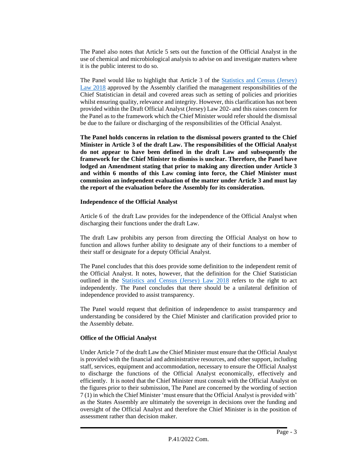The Panel also notes that Article 5 sets out the function of the Official Analyst in the use of chemical and microbiological analysis to advise on and investigate matters where it is the public interest to do so.

The Panel would like to highlight that Article 3 of the [Statistics and Census \(Jersey\)](https://www.jerseylaw.je/laws/enacted/PDFs/L-08-2018.pdf)  [Law 2018](https://www.jerseylaw.je/laws/enacted/PDFs/L-08-2018.pdf) approved by the Assembly clarified the management responsibilities of the Chief Statistician in detail and covered areas such as setting of policies and priorities whilst ensuring quality, relevance and integrity. However, this clarification has not been provided within the Draft Official Analyst (Jersey) Law 202- and this raises concern for the Panel as to the framework which the Chief Minister would refer should the dismissal be due to the failure or discharging of the responsibilities of the Official Analyst.

**The Panel holds concerns in relation to the dismissal powers granted to the Chief Minister in Article 3 of the draft Law. The responsibilities of the Official Analyst do not appear to have been defined in the draft Law and subsequently the framework for the Chief Minister to dismiss is unclear. Therefore, the Panel have lodged an Amendment stating that prior to making any direction under Article 3 and within 6 months of this Law coming into force, the Chief Minister must commission an independent evaluation of the matter under Article 3 and must lay the report of the evaluation before the Assembly for its consideration.**

# **Independence of the Official Analyst**

Article 6 of the draft Law provides for the independence of the Official Analyst when discharging their functions under the draft Law.

The draft Law prohibits any person from directing the Official Analyst on how to function and allows further ability to designate any of their functions to a member of their staff or designate for a deputy Official Analyst.

The Panel concludes that this does provide some definition to the independent remit of the Official Analyst. It notes, however, that the definition for the Chief Statistician outlined in the [Statistics and Census \(Jersey\) Law 2018](https://www.jerseylaw.je/laws/enacted/PDFs/L-08-2018.pdf) refers to the right to act independently. The Panel concludes that there should be a unilateral definition of independence provided to assist transparency.

The Panel would request that definition of independence to assist transparency and understanding be considered by the Chief Minister and clarification provided prior to the Assembly debate.

# **Office of the Official Analyst**

Under Article 7 of the draft Law the Chief Minister must ensure that the Official Analyst is provided with the financial and administrative resources, and other support, including staff, services, equipment and accommodation, necessary to ensure the Official Analyst to discharge the functions of the Official Analyst economically, effectively and efficiently. It is noted that the Chief Minister must consult with the Official Analyst on the figures prior to their submission, The Panel are concerned by the wording of section 7 (1) in which the Chief Minister 'must ensure that the Official Analyst is provided with' as the States Assembly are ultimately the sovereign in decisions over the funding and oversight of the Official Analyst and therefore the Chief Minister is in the position of assessment rather than decision maker.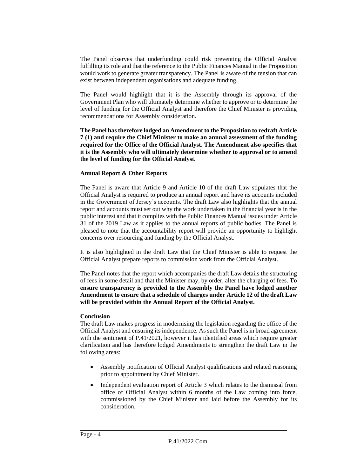The Panel observes that underfunding could risk preventing the Official Analyst fulfilling its role and that the reference to the Public Finances Manual in the Proposition would work to generate greater transparency. The Panel is aware of the tension that can exist between independent organisations and adequate funding.

The Panel would highlight that it is the Assembly through its approval of the Government Plan who will ultimately determine whether to approve or to determine the level of funding for the Official Analyst and therefore the Chief Minister is providing recommendations for Assembly consideration.

**The Panel hastherefore lodged an Amendment to the Proposition to redraft Article 7 (1) and require the Chief Minister to make an annual assessment of the funding required for the Office of the Official Analyst. The Amendment also specifies that it is the Assembly who will ultimately determine whether to approval or to amend the level of funding for the Official Analyst.**

# **Annual Report & Other Reports**

The Panel is aware that Article 9 and Article 10 of the draft Law stipulates that the Official Analyst is required to produce an annual report and have its accounts included in the Government of Jersey's accounts. The draft Law also highlights that the annual report and accounts must set out why the work undertaken in the financial year is in the public interest and that it complies with the Public Finances Manual issues under Article 31 of the 2019 Law as it applies to the annual reports of public bodies. The Panel is pleased to note that the accountability report will provide an opportunity to highlight concerns over resourcing and funding by the Official Analyst.

It is also highlighted in the draft Law that the Chief Minister is able to request the Official Analyst prepare reports to commission work from the Official Analyst.

The Panel notes that the report which accompanies the draft Law details the structuring of fees in some detail and that the Minister may, by order, alter the charging of fees. **To ensure transparency is provided to the Assembly the Panel have lodged another Amendment to ensure that a schedule of charges under Article 12 of the draft Law will be provided within the Annual Report of the Official Analyst.**

#### **Conclusion**

The draft Law makes progress in modernising the legislation regarding the office of the Official Analyst and ensuring its independence. As such the Panel is in broad agreement with the sentiment of P.41/2021, however it has identified areas which require greater clarification and has therefore lodged Amendments to strengthen the draft Law in the following areas:

- Assembly notification of Official Analyst qualifications and related reasoning prior to appointment by Chief Minister.
- Independent evaluation report of Article 3 which relates to the dismissal from office of Official Analyst within 6 months of the Law coming into force, commissioned by the Chief Minister and laid before the Assembly for its consideration.